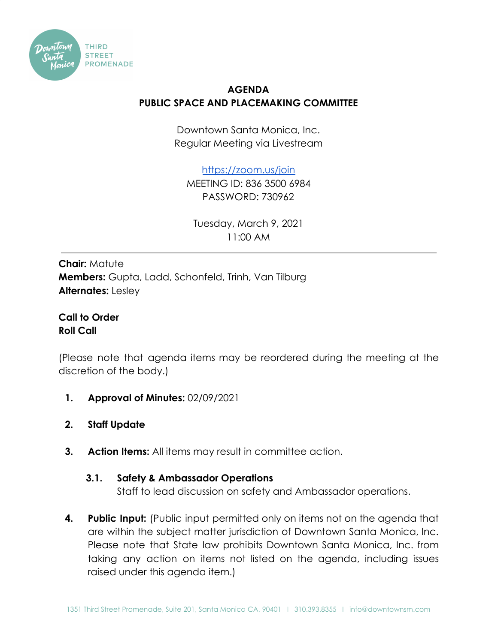

## **AGENDA PUBLIC SPACE AND PLACEMAKING COMMITTEE**

Downtown Santa Monica, Inc. Regular Meeting via Livestream

<https://zoom.us/join>

MEETING ID: 836 3500 6984 PASSWORD: 730962

Tuesday, March 9, 2021 11:00 AM

**Chair:** Matute **Members:** Gupta, Ladd, Schonfeld, Trinh, Van Tilburg **Alternates:** Lesley

**Call to Order Roll Call**

(Please note that agenda items may be reordered during the meeting at the discretion of the body.)

- **1. Approval of Minutes:** 02/09/2021
- **2. Staff Update**
- **3. Action Items:** All items may result in committee action.

## **3.1. Safety & Ambassador Operations**

Staff to lead discussion on safety and Ambassador operations.

**4. Public Input:** (Public input permitted only on items not on the agenda that are within the subject matter jurisdiction of Downtown Santa Monica, Inc. Please note that State law prohibits Downtown Santa Monica, Inc. from taking any action on items not listed on the agenda, including issues raised under this agenda item.)